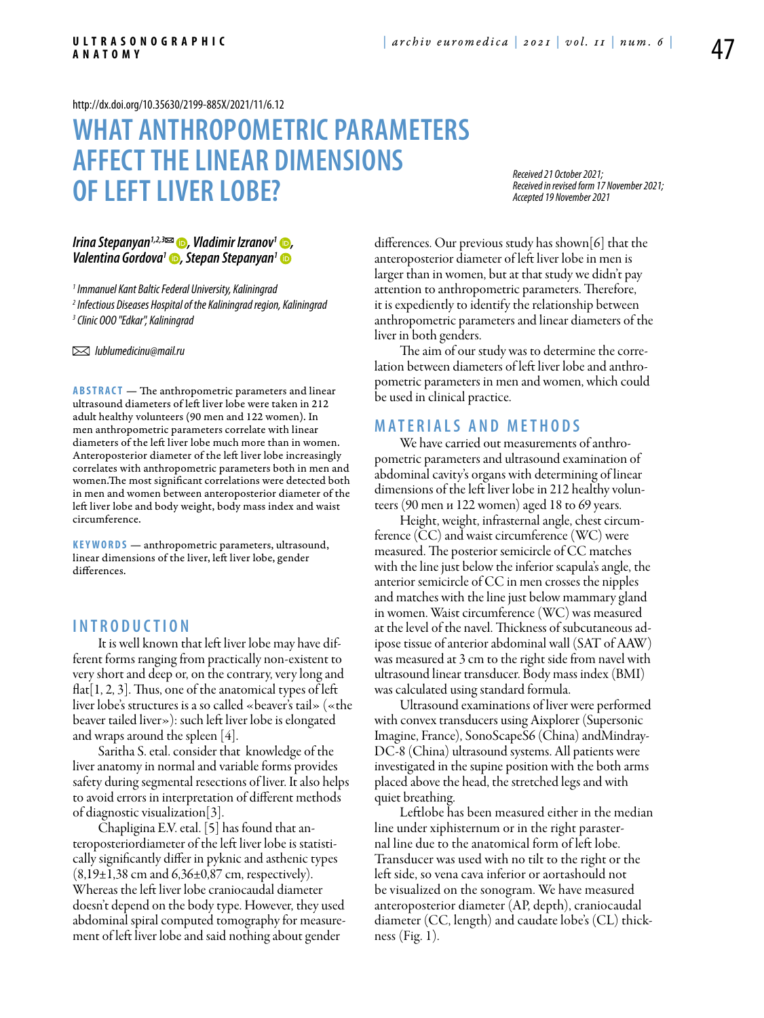<http://dx.doi.org/10.35630/2199-885X/2021/11/6.12>

## **What anthropometric parameters affect the linear dimensions of left liver lobe?**

*Received 21 October 2021; Received in revised form 17 November 2021; Accepted 19 November 2021*

# *[Irina Stepanyan](https://orcid.org/0000-0002-5450-6272)1,2,3 , [Vladimir Izranov](https://orcid.org/0000-0002-6440-5889)1 , [Valentina Gordova](https://orcid.org/0000-0001-5109-9862)1 , [Stepan Stepanyan1](https://orcid.org/0000-0002-9653-0959)*

*1 Immanuel Kant Baltic Federal University, Kaliningrad 2 Infectious Diseases Hospital of the Kaliningrad region, Kaliningrad 3 Clinic OOO "Edkar", Kaliningrad*

 *lublumedicinu@mail.ru*

**ABSTRACT** — The anthropometric parameters and linear ultrasound diameters of left liver lobe were taken in 212 adult healthy volunteers (90 men and 122 women). In men anthropometric parameters correlate with linear diameters of the left liver lobe much more than in women. Anteroposterior diameter of the left liver lobe increasingly correlates with anthropometric parameters both in men and women.The most significant correlations were detected both in men and women between anteroposterior diameter of the left liver lobe and body weight, body mass index and waist circumference.

**KEYWORDS** — anthropometric parameters, ultrasound, linear dimensions of the liver, left liver lobe, gender differences.

#### **I n t r o d uct i o n**

It is well known that left liver lobe may have different forms ranging from practically non-existent to very short and deep or, on the contrary, very long and  $flat[1, 2, 3]$ . Thus, one of the anatomical types of left liver lobe's structures is a so called «beaver's tail» («the beaver tailed liver»): such left liver lobe is elongated and wraps around the spleen [4].

Saritha S. etal. consider that knowledge of the liver anatomy in normal and variable forms provides safety during segmental resections of liver. It also helps to avoid errors in interpretation of different methods of diagnostic visualization[3].

Chapligina E.V. etal. [5] has found that anteroposteriordiameter of the left liver lobe is statistically significantly differ in pyknic and asthenic types  $(8,19\pm1,38 \text{ cm and } 6,36\pm0,87 \text{ cm}, \text{ respectively}).$ Whereas the left liver lobe craniocaudal diameter doesn't depend on the body type. However, they used abdominal spiral computed tomography for measurement of left liver lobe and said nothing about gender

differences. Our previous study has shown[6] that the anteroposterior diameter of left liver lobe in men is larger than in women, but at that study we didn't pay attention to anthropometric parameters. Therefore, it is expediently to identify the relationship between anthropometric parameters and linear diameters of the liver in both genders.

The aim of our study was to determine the correlation between diameters of left liver lobe and anthropometric parameters in men and women, which could be used in clinical practice.

#### **MATERIALS AND METHODS**

We have carried out measurements of anthropometric parameters and ultrasound examination of abdominal cavity's organs with determining of linear dimensions of the left liver lobe in 212 healthy volunteers (90 men и 122 women) aged 18 to 69 years.

Height, weight, infrasternal angle, chest circumference (CC) and waist circumference (WC) were measured. The posterior semicircle of CC matches with the line just below the inferior scapula's angle, the anterior semicircle of CC in men crosses the nipples and matches with the line just below mammary gland in women. Waist circumference (WC) was measured at the level of the navel. Thickness of subcutaneous adipose tissue of anterior abdominal wall (SAT of AAW) was measured at 3 cm to the right side from navel with ultrasound linear transducer. Body mass index (BMI) was calculated using standard formula.

Ultrasound examinations of liver were performed with convex transducers using Aixplorer (Supersonic Imagine, France), SonoScapeS6 (China) andMindray-DC-8 (China) ultrasound systems. All patients were investigated in the supine position with the both arms placed above the head, the stretched legs and with quiet breathing.

Leftlobe has been measured either in the median line under xiphisternum or in the right parasternal line due to the anatomical form of left lobe. Transducer was used with no tilt to the right or the left side, so vena cava inferior or aortashould not be visualized on the sonogram. We have measured anteroposterior diameter (AP, depth), craniocaudal diameter (CC, length) and caudate lobe's (CL) thickness (Fig. 1).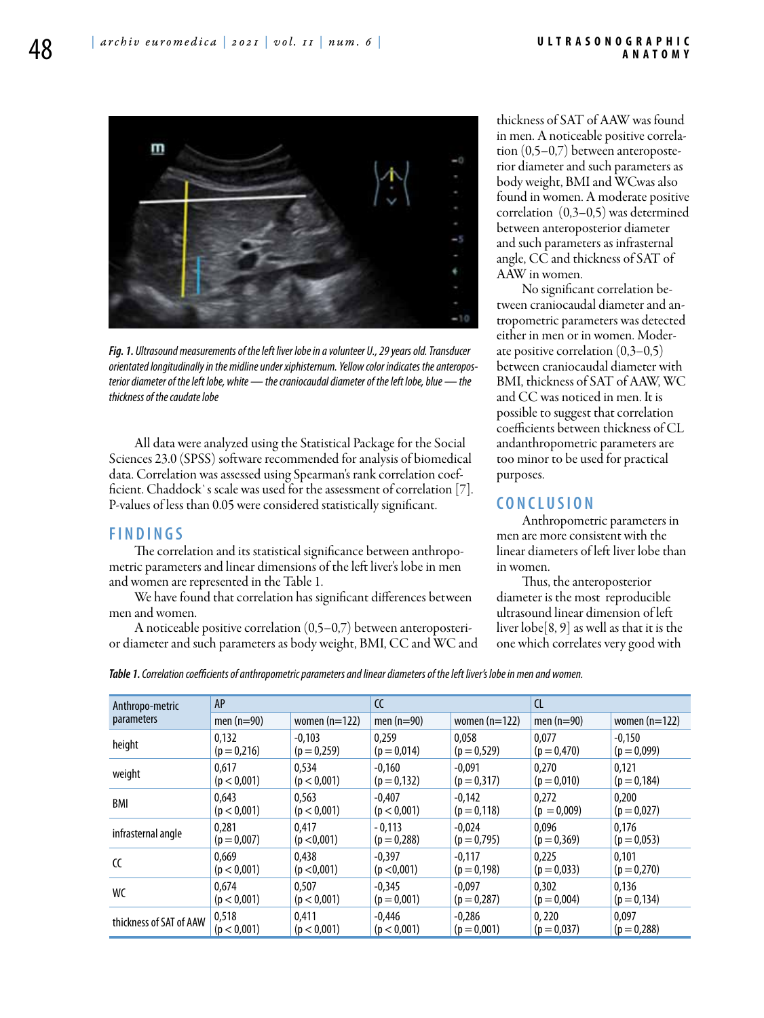

*Fig. 1. Ultrasound measurements of the left liver lobe in a volunteer U., 29 years old. Transducer orientated longitudinally in the midline under xiphisternum. Yellow color indicates the anteroposterior diameter of the left lobe, white — the craniocaudal diameter of the left lobe, blue — the thickness of the caudate lobe*

All data were analyzed using the Statistical Package for the Social Sciences 23.0 (SPSS) software recommended for analysis of biomedical data. Correlation was assessed using Spearman's rank correlation coefficient. Chaddock`s scale was used for the assessment of correlation [7]. P-values of less than 0.05 were considered statistically significant.

#### **F i n d i n g s**

The correlation and its statistical significance between anthropometric parameters and linear dimensions of the left liver's lobe in men and women are represented in the Table 1.

We have found that correlation has significant differences between men and women.

A noticeable positive correlation (0,5–0,7) between anteroposterior diameter and such parameters as body weight, BMI, CC and WC and thickness of SAT of AAW was found in men. A noticeable positive correlation (0,5–0,7) between anteroposterior diameter and such parameters as body weight, BMI and WCwas also found in women. A moderate positive correlation (0,3–0,5) was determined between anteroposterior diameter and such parameters as infrasternal angle, CC and thickness of SAT of AAW in women.

No significant correlation between craniocaudal diameter and antropometric parameters was detected either in men or in women. Moderate positive correlation (0,3–0,5) between craniocaudal diameter with BMI, thickness of SAT of AAW, WC and CC was noticed in men. It is possible to suggest that correlation coefficients between thickness of CL andanthropometric parameters are too minor to be used for practical purposes.

### **C o n cl u s i o n**

Anthropometric parameters in men are more consistent with the linear diameters of left liver lobe than in women.

Thus, the anteroposterior diameter is the most reproducible ultrasound linear dimension of left liver lobe[8, 9] as well as that it is the one which correlates very good with

| <b>Table 1.</b> Correlation coefficients of anthropometric parameters and linear diameters of the left liver's lobe in men and women. |  |
|---------------------------------------------------------------------------------------------------------------------------------------|--|
|---------------------------------------------------------------------------------------------------------------------------------------|--|

| Anthropo-metric<br>parameters | AP            |                 | $\epsilon$     |                 | <b>CL</b>      |                 |
|-------------------------------|---------------|-----------------|----------------|-----------------|----------------|-----------------|
|                               | men $(n=90)$  | women $(n=122)$ | men $(n=90)$   | women $(n=122)$ | men $(n=90)$   | women $(n=122)$ |
| height                        | 0.132         | $-0.103$        | 0,259          | 0.058           | 0.077          | $-0.150$        |
|                               | $(p = 0,216)$ | $(p = 0,259)$   | $(p = 0.014)$  | $(p = 0.529)$   | $(p = 0,470)$  | $(p = 0.099)$   |
| weight                        | 0.617         | 0,534           | $-0.160$       | $-0.091$        | 0.270          | 0.121           |
|                               | (p < 0.001)   | (p < 0.001)     | $(p = 0, 132)$ | $(p = 0.317)$   | $(p = 0.010)$  | $(p = 0.184)$   |
| BMI                           | 0.643         | 0.563           | $-0.407$       | $-0.142$        | 0.272          | 0.200           |
|                               | (p < 0,001)   | (p < 0,001)     | (p < 0.001)    | $(p = 0, 118)$  | $(p = 0.009)$  | $(p = 0.027)$   |
| infrasternal angle            | 0.281         | 0.417           | $-0.113$       | $-0.024$        | 0.096          | 0.176           |
|                               | $(p = 0.007)$ | (p < 0.001)     | $(p = 0.288)$  | $(p = 0.795)$   | $(p = 0, 369)$ | $(p = 0.053)$   |
| CC                            | 0.669         | 0.438           | $-0.397$       | $-0.117$        | 0.225          | 0.101           |
|                               | (p < 0.001)   | (p < 0.001)     | (p < 0.001)    | $(p = 0.198)$   | $(p = 0.033)$  | $(p = 0,270)$   |
| WC                            | 0.674         | 0.507           | $-0.345$       | $-0.097$        | 0.302          | 0.136           |
|                               | (p < 0.001)   | (p < 0.001)     | $(p = 0.001)$  | $(p = 0.287)$   | $(p = 0.004)$  | $(p = 0.134)$   |
| thickness of SAT of AAW       | 0,518         | 0.411           | $-0.446$       | $-0.286$        | 0.220          | 0.097           |
|                               | (p < 0,001)   | (p < 0.001)     | (p < 0,001)    | $(p = 0.001)$   | $(p = 0.037)$  | $(p = 0, 288)$  |